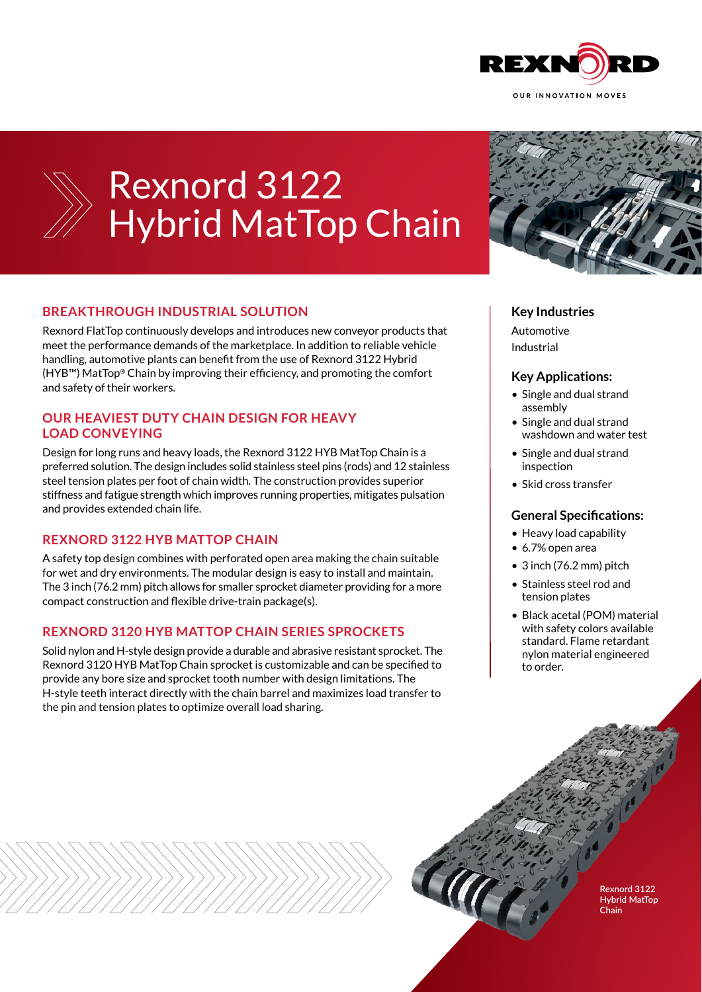

# Rexnord 3122 Hybrid MatTop Chain

## **BREAKTHROUGH INDUSTRIAL SOLUTION**

Rexnord FlatTop continuously develops and introduces new conveyor products that meet the performance demands of the marketplace. In addition to reliable vehicle handling, automotive plants can benefit from the use of Rexnord 3122 Hybrid (HYB™) MatTop® Chain by improving their efficiency, and promoting the comfort and safety of their workers.

#### **OUR HEAVIEST DUTY CHAIN DESIGN FOR HEAVY LOAD CONVEYING**

Design for long runs and heavy loads, the Rexnord 3122 HYB MatTop Chain is a preferred solution. The design includes solid stainless steel pins (rods) and 12 stainless steel tension plates per foot of chain width. The construction provides superior stiffness and fatigue strength which improves running properties, mitigates pulsation and provides extended chain life.

#### **REXNORD 3122 HYB MATTOP CHAIN**

A safety top design combines with perforated open area making the chain suitable for wet and dry environments. The modular design is easy to install and maintain. The 3 inch (76.2 mm) pitch allows for smaller sprocket diameter providing for a more compact construction and flexible drive-train package(s).

#### **REXNORD 3120 HYB MATTOP CHAIN SERIES SPROCKETS**

Solid nylon and H-style design provide a durable and abrasive resistant sprocket. The Rexnord 3120 HYB MatTop Chain sprocket is customizable and can be specified to provide any bore size and sprocket tooth number with design limitations. The H-style teeth interact directly with the chain barrel and maximizes load transfer to the pin and tension plates to optimize overall load sharing.



#### **Key Industries**

Automotive Industrial

#### **Key Applications:**

- Single and dual strand assembly
- Single and dual strand washdown and water test
- Single and dual strand inspection
- Skid cross transfer

#### **General Specifications:**

- Heavy load capability
- 6.7% open area
- 3 inch (76.2 mm) pitch
- Stainless steel rod and tension plates
- Black acetal (POM) material with safety colors available standard. Flame retardant nylon material engineered to order.

**Rexnord 3122 Hybrid MatTop Chain**